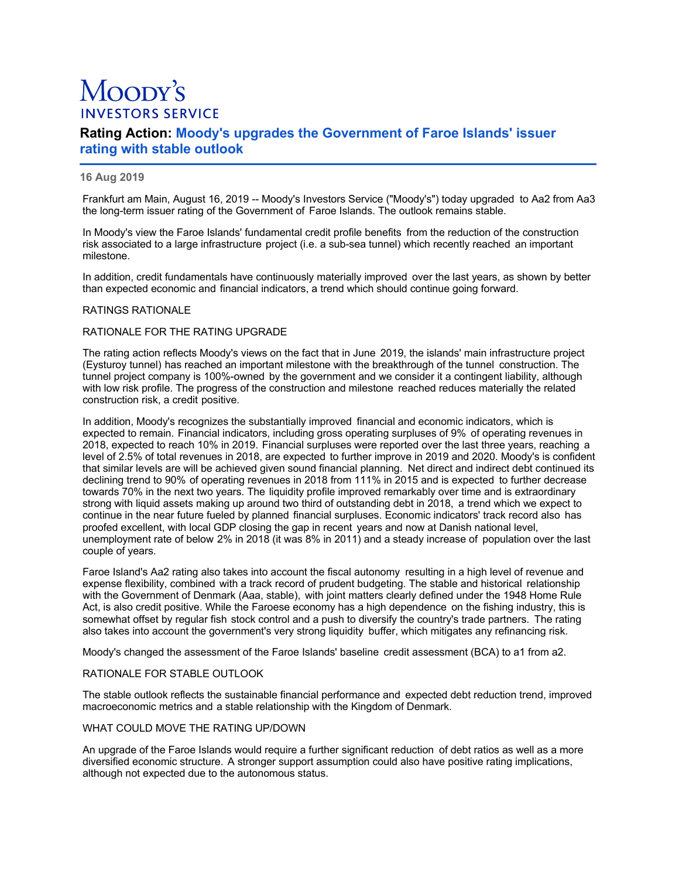# Moopy's **INVESTORS SERVICE**

# **Rating Action: Moody's upgrades the Government of Faroe Islands' issuer rating with stable outlook**

# **16 Aug 2019**

Frankfurt am Main, August 16, 2019 -- Moody's Investors Service ("Moody's") today upgraded to Aa2 from Aa3 the long-term issuer rating of the Government of Faroe Islands. The outlook remains stable.

In Moody's view the Faroe Islands' fundamental credit profile benefits from the reduction of the construction risk associated to a large infrastructure project (i.e. a sub-sea tunnel) which recently reached an important milestone.

In addition, credit fundamentals have continuously materially improved over the last years, as shown by better than expected economic and financial indicators, a trend which should continue going forward.

#### RATINGS RATIONALE

#### RATIONALE FOR THE RATING UPGRADE

The rating action reflects Moody's views on the fact that in June 2019, the islands' main infrastructure project (Eysturoy tunnel) has reached an important milestone with the breakthrough of the tunnel construction. The tunnel project company is 100%-owned by the government and we consider it a contingent liability, although with low risk profile. The progress of the construction and milestone reached reduces materially the related construction risk, a credit positive.

In addition, Moody's recognizes the substantially improved financial and economic indicators, which is expected to remain. Financial indicators, including gross operating surpluses of 9% of operating revenues in 2018, expected to reach 10% in 2019. Financial surpluses were reported over the last three years, reaching a level of 2.5% of total revenues in 2018, are expected to further improve in 2019 and 2020. Moody's is confident that similar levels are will be achieved given sound financial planning. Net direct and indirect debt continued its declining trend to 90% of operating revenues in 2018 from 111% in 2015 and is expected to further decrease towards 70% in the next two years. The liquidity profile improved remarkably over time and is extraordinary strong with liquid assets making up around two third of outstanding debt in 2018, a trend which we expect to continue in the near future fueled by planned financial surpluses. Economic indicators' track record also has proofed excellent, with local GDP closing the gap in recent years and now at Danish national level, unemployment rate of below 2% in 2018 (it was 8% in 2011) and a steady increase of population over the last couple of years.

Faroe Island's Aa2 rating also takes into account the fiscal autonomy resulting in a high level of revenue and expense flexibility, combined with a track record of prudent budgeting. The stable and historical relationship with the Government of Denmark (Aaa, stable), with joint matters clearly defined under the 1948 Home Rule Act, is also credit positive. While the Faroese economy has a high dependence on the fishing industry, this is somewhat offset by regular fish stock control and a push to diversify the country's trade partners. The rating also takes into account the government's very strong liquidity buffer, which mitigates any refinancing risk.

Moody's changed the assessment of the Faroe Islands' baseline credit assessment (BCA) to a1 from a2.

#### RATIONALE FOR STABLE OUTLOOK

The stable outlook reflects the sustainable financial performance and expected debt reduction trend, improved macroeconomic metrics and a stable relationship with the Kingdom of Denmark.

## WHAT COULD MOVE THE RATING UP/DOWN

An upgrade of the Faroe Islands would require a further significant reduction of debt ratios as well as a more diversified economic structure. A stronger support assumption could also have positive rating implications, although not expected due to the autonomous status.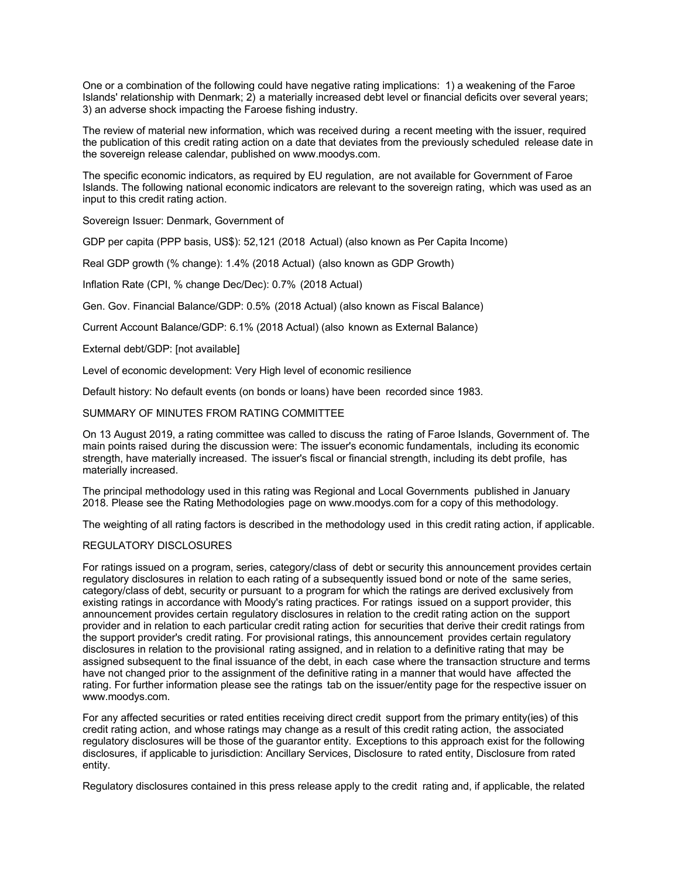One or a combination of the following could have negative rating implications: 1) a weakening of the Faroe Islands' relationship with Denmark; 2) a materially increased debt level or financial deficits over several years; 3) an adverse shock impacting the Faroese fishing industry.

The review of material new information, which was received during a recent meeting with the issuer, required the publication of this credit rating action on a date that deviates from the previously scheduled release date in the sovereign release calendar, published on www.moodys.com.

The specific economic indicators, as required by EU regulation, are not available for Government of Faroe Islands. The following national economic indicators are relevant to the sovereign rating, which was used as an input to this credit rating action.

Sovereign Issuer: Denmark, Government of

GDP per capita (PPP basis, US\$): 52,121 (2018 Actual) (also known as Per Capita Income)

Real GDP growth (% change): 1.4% (2018 Actual) (also known as GDP Growth)

Inflation Rate (CPI, % change Dec/Dec): 0.7% (2018 Actual)

Gen. Gov. Financial Balance/GDP: 0.5% (2018 Actual) (also known as Fiscal Balance)

Current Account Balance/GDP: 6.1% (2018 Actual) (also known as External Balance)

External debt/GDP: [not available]

Level of economic development: Very High level of economic resilience

Default history: No default events (on bonds or loans) have been recorded since 1983.

SUMMARY OF MINUTES FROM RATING COMMITTEE

On 13 August 2019, a rating committee was called to discuss the rating of Faroe Islands, Government of. The main points raised during the discussion were: The issuer's economic fundamentals, including its economic strength, have materially increased. The issuer's fiscal or financial strength, including its debt profile, has materially increased.

The principal methodology used in this rating was Regional and Local Governments published in January 2018. Please see the Rating Methodologies page on www.moodys.com for a copy of this methodology.

The weighting of all rating factors is described in the methodology used in this credit rating action, if applicable.

#### REGULATORY DISCLOSURES

For ratings issued on a program, series, category/class of debt or security this announcement provides certain regulatory disclosures in relation to each rating of a subsequently issued bond or note of the same series, category/class of debt, security or pursuant to a program for which the ratings are derived exclusively from existing ratings in accordance with Moody's rating practices. For ratings issued on a support provider, this announcement provides certain regulatory disclosures in relation to the credit rating action on the support provider and in relation to each particular credit rating action for securities that derive their credit ratings from the support provider's credit rating. For provisional ratings, this announcement provides certain regulatory disclosures in relation to the provisional rating assigned, and in relation to a definitive rating that may be assigned subsequent to the final issuance of the debt, in each case where the transaction structure and terms have not changed prior to the assignment of the definitive rating in a manner that would have affected the rating. For further information please see the ratings tab on the issuer/entity page for the respective issuer on www.moodys.com.

For any affected securities or rated entities receiving direct credit support from the primary entity(ies) of this credit rating action, and whose ratings may change as a result of this credit rating action, the associated regulatory disclosures will be those of the guarantor entity. Exceptions to this approach exist for the following disclosures, if applicable to jurisdiction: Ancillary Services, Disclosure to rated entity, Disclosure from rated entity.

Regulatory disclosures contained in this press release apply to the credit rating and, if applicable, the related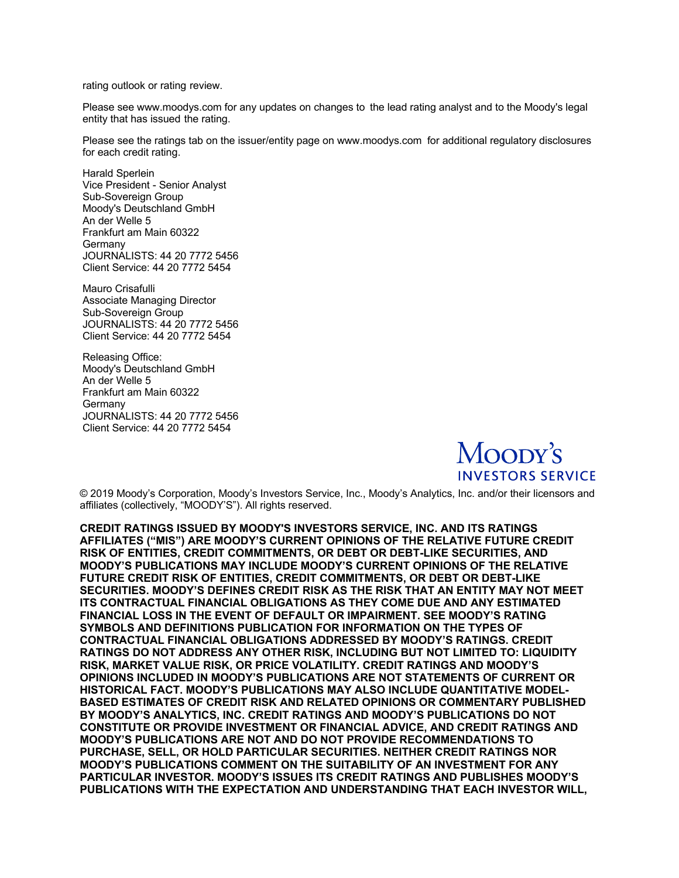rating outlook or rating review.

Please see www.moodys.com for any updates on changes to the lead rating analyst and to the Moody's legal entity that has issued the rating.

Please see the ratings tab on the issuer/entity page on www.moodys.com for additional regulatory disclosures for each credit rating.

Harald Sperlein Vice President - Senior Analyst Sub-Sovereign Group Moody's Deutschland GmbH An der Welle 5 Frankfurt am Main 60322 Germany JOURNALISTS: 44 20 7772 5456 Client Service: 44 20 7772 5454

Mauro Crisafulli Associate Managing Director Sub-Sovereign Group JOURNALISTS: 44 20 7772 5456 Client Service: 44 20 7772 5454

Releasing Office: Moody's Deutschland GmbH An der Welle 5 Frankfurt am Main 60322 Germany JOURNALISTS: 44 20 7772 5456 Client Service: 44 20 7772 5454



© 2019 Moody's Corporation, Moody's Investors Service, Inc., Moody's Analytics, Inc. and/or their licensors and affiliates (collectively, "MOODY'S"). All rights reserved.

**CREDIT RATINGS ISSUED BY MOODY'S INVESTORS SERVICE, INC. AND ITS RATINGS AFFILIATES ("MIS") ARE MOODY'S CURRENT OPINIONS OF THE RELATIVE FUTURE CREDIT RISK OF ENTITIES, CREDIT COMMITMENTS, OR DEBT OR DEBT-LIKE SECURITIES, AND MOODY'S PUBLICATIONS MAY INCLUDE MOODY'S CURRENT OPINIONS OF THE RELATIVE FUTURE CREDIT RISK OF ENTITIES, CREDIT COMMITMENTS, OR DEBT OR DEBT-LIKE SECURITIES. MOODY'S DEFINES CREDIT RISK AS THE RISK THAT AN ENTITY MAY NOT MEET ITS CONTRACTUAL FINANCIAL OBLIGATIONS AS THEY COME DUE AND ANY ESTIMATED FINANCIAL LOSS IN THE EVENT OF DEFAULT OR IMPAIRMENT. SEE MOODY'S RATING SYMBOLS AND DEFINITIONS PUBLICATION FOR INFORMATION ON THE TYPES OF CONTRACTUAL FINANCIAL OBLIGATIONS ADDRESSED BY MOODY'S RATINGS. CREDIT RATINGS DO NOT ADDRESS ANY OTHER RISK, INCLUDING BUT NOT LIMITED TO: LIQUIDITY RISK, MARKET VALUE RISK, OR PRICE VOLATILITY. CREDIT RATINGS AND MOODY'S OPINIONS INCLUDED IN MOODY'S PUBLICATIONS ARE NOT STATEMENTS OF CURRENT OR HISTORICAL FACT. MOODY'S PUBLICATIONS MAY ALSO INCLUDE QUANTITATIVE MODEL-BASED ESTIMATES OF CREDIT RISK AND RELATED OPINIONS OR COMMENTARY PUBLISHED BY MOODY'S ANALYTICS, INC. CREDIT RATINGS AND MOODY'S PUBLICATIONS DO NOT CONSTITUTE OR PROVIDE INVESTMENT OR FINANCIAL ADVICE, AND CREDIT RATINGS AND MOODY'S PUBLICATIONS ARE NOT AND DO NOT PROVIDE RECOMMENDATIONS TO PURCHASE, SELL, OR HOLD PARTICULAR SECURITIES. NEITHER CREDIT RATINGS NOR MOODY'S PUBLICATIONS COMMENT ON THE SUITABILITY OF AN INVESTMENT FOR ANY PARTICULAR INVESTOR. MOODY'S ISSUES ITS CREDIT RATINGS AND PUBLISHES MOODY'S PUBLICATIONS WITH THE EXPECTATION AND UNDERSTANDING THAT EACH INVESTOR WILL,**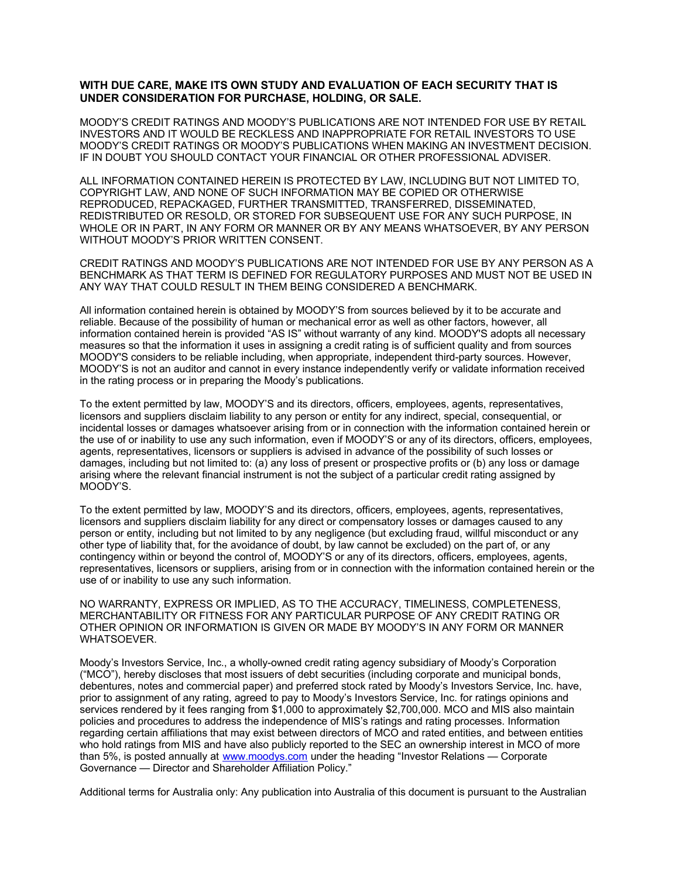## **WITH DUE CARE, MAKE ITS OWN STUDY AND EVALUATION OF EACH SECURITY THAT IS UNDER CONSIDERATION FOR PURCHASE, HOLDING, OR SALE.**

MOODY'S CREDIT RATINGS AND MOODY'S PUBLICATIONS ARE NOT INTENDED FOR USE BY RETAIL INVESTORS AND IT WOULD BE RECKLESS AND INAPPROPRIATE FOR RETAIL INVESTORS TO USE MOODY'S CREDIT RATINGS OR MOODY'S PUBLICATIONS WHEN MAKING AN INVESTMENT DECISION. IF IN DOUBT YOU SHOULD CONTACT YOUR FINANCIAL OR OTHER PROFESSIONAL ADVISER.

ALL INFORMATION CONTAINED HEREIN IS PROTECTED BY LAW, INCLUDING BUT NOT LIMITED TO, COPYRIGHT LAW, AND NONE OF SUCH INFORMATION MAY BE COPIED OR OTHERWISE REPRODUCED, REPACKAGED, FURTHER TRANSMITTED, TRANSFERRED, DISSEMINATED, REDISTRIBUTED OR RESOLD, OR STORED FOR SUBSEQUENT USE FOR ANY SUCH PURPOSE, IN WHOLE OR IN PART, IN ANY FORM OR MANNER OR BY ANY MEANS WHATSOEVER, BY ANY PERSON WITHOUT MOODY'S PRIOR WRITTEN CONSENT.

CREDIT RATINGS AND MOODY'S PUBLICATIONS ARE NOT INTENDED FOR USE BY ANY PERSON AS A BENCHMARK AS THAT TERM IS DEFINED FOR REGULATORY PURPOSES AND MUST NOT BE USED IN ANY WAY THAT COULD RESULT IN THEM BEING CONSIDERED A BENCHMARK.

All information contained herein is obtained by MOODY'S from sources believed by it to be accurate and reliable. Because of the possibility of human or mechanical error as well as other factors, however, all information contained herein is provided "AS IS" without warranty of any kind. MOODY'S adopts all necessary measures so that the information it uses in assigning a credit rating is of sufficient quality and from sources MOODY'S considers to be reliable including, when appropriate, independent third-party sources. However, MOODY'S is not an auditor and cannot in every instance independently verify or validate information received in the rating process or in preparing the Moody's publications.

To the extent permitted by law, MOODY'S and its directors, officers, employees, agents, representatives, licensors and suppliers disclaim liability to any person or entity for any indirect, special, consequential, or incidental losses or damages whatsoever arising from or in connection with the information contained herein or the use of or inability to use any such information, even if MOODY'S or any of its directors, officers, employees, agents, representatives, licensors or suppliers is advised in advance of the possibility of such losses or damages, including but not limited to: (a) any loss of present or prospective profits or (b) any loss or damage arising where the relevant financial instrument is not the subject of a particular credit rating assigned by MOODY'S.

To the extent permitted by law, MOODY'S and its directors, officers, employees, agents, representatives, licensors and suppliers disclaim liability for any direct or compensatory losses or damages caused to any person or entity, including but not limited to by any negligence (but excluding fraud, willful misconduct or any other type of liability that, for the avoidance of doubt, by law cannot be excluded) on the part of, or any contingency within or beyond the control of, MOODY'S or any of its directors, officers, employees, agents, representatives, licensors or suppliers, arising from or in connection with the information contained herein or the use of or inability to use any such information.

NO WARRANTY, EXPRESS OR IMPLIED, AS TO THE ACCURACY, TIMELINESS, COMPLETENESS, MERCHANTABILITY OR FITNESS FOR ANY PARTICULAR PURPOSE OF ANY CREDIT RATING OR OTHER OPINION OR INFORMATION IS GIVEN OR MADE BY MOODY'S IN ANY FORM OR MANNER WHATSOEVER.

Moody's Investors Service, Inc., a wholly-owned credit rating agency subsidiary of Moody's Corporation ("MCO"), hereby discloses that most issuers of debt securities (including corporate and municipal bonds, debentures, notes and commercial paper) and preferred stock rated by Moody's Investors Service, Inc. have, prior to assignment of any rating, agreed to pay to Moody's Investors Service, Inc. for ratings opinions and services rendered by it fees ranging from \$1,000 to approximately \$2,700,000. MCO and MIS also maintain policies and procedures to address the independence of MIS's ratings and rating processes. Information regarding certain affiliations that may exist between directors of MCO and rated entities, and between entities who hold ratings from MIS and have also publicly reported to the SEC an ownership interest in MCO of more than 5%, is posted annually at [www.moodys.com](https://www.moodys.com/Lists/MiscellaneousConfigurations/EditForm.aspx?ID=6&ContentTypeId=0x01003E2E20872FDB40ECB271C1AE14084ACD00A1FDA31ED080364EBCA76C38EFA23D88&IsDlg=1) under the heading "Investor Relations - Corporate Governance — Director and Shareholder Affiliation Policy."

Additional terms for Australia only: Any publication into Australia of this document is pursuant to the Australian